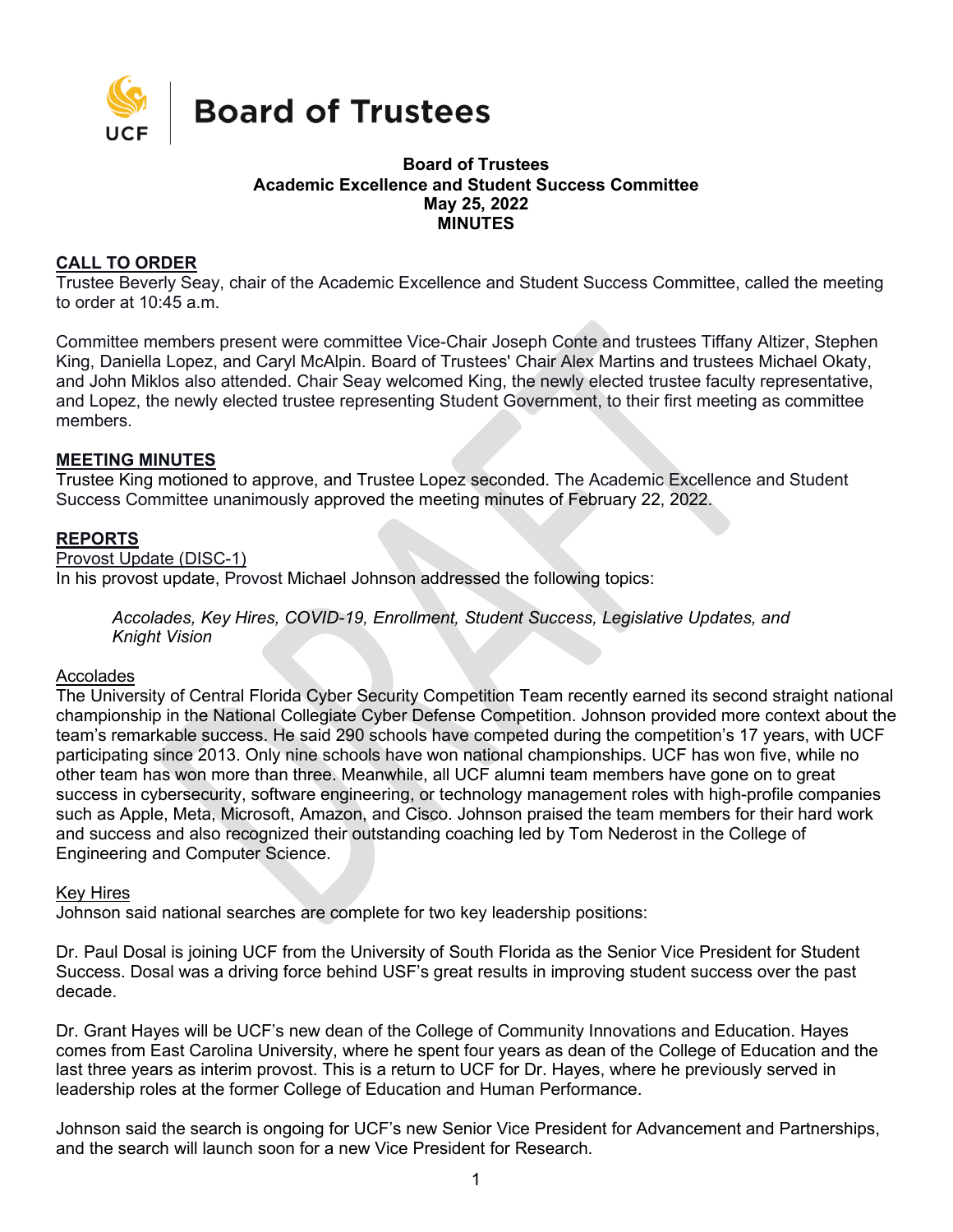

## **Board of Trustees Academic Excellence and Student Success Committee May 25, 2022 MINUTES**

# **CALL TO ORDER**

Trustee Beverly Seay, chair of the Academic Excellence and Student Success Committee, called the meeting to order at 10:45 a.m.

Committee members present were committee Vice-Chair Joseph Conte and trustees Tiffany Altizer, Stephen King, Daniella Lopez, and Caryl McAlpin. Board of Trustees' Chair Alex Martins and trustees Michael Okaty, and John Miklos also attended. Chair Seay welcomed King, the newly elected trustee faculty representative, and Lopez, the newly elected trustee representing Student Government, to their first meeting as committee members.

## **MEETING MINUTES**

Trustee King motioned to approve, and Trustee Lopez seconded. The Academic Excellence and Student Success Committee unanimously approved the meeting minutes of February 22, 2022.

# **REPORTS**

Provost Update (DISC-1) In his provost update, Provost Michael Johnson addressed the following topics:

*Accolades, Key Hires, COVID-19, Enrollment, Student Success, Legislative Updates, and Knight Vision*

#### Accolades

The University of Central Florida Cyber Security Competition Team recently earned its second straight national championship in the National Collegiate Cyber Defense Competition. Johnson provided more context about the team's remarkable success. He said 290 schools have competed during the competition's 17 years, with UCF participating since 2013. Only nine schools have won national championships. UCF has won five, while no other team has won more than three. Meanwhile, all UCF alumni team members have gone on to great success in cybersecurity, software engineering, or technology management roles with high-profile companies such as Apple, Meta, Microsoft, Amazon, and Cisco. Johnson praised the team members for their hard work and success and also recognized their outstanding coaching led by Tom Nederost in the College of Engineering and Computer Science.

#### Key Hires

Johnson said national searches are complete for two key leadership positions:

Dr. Paul Dosal is joining UCF from the University of South Florida as the Senior Vice President for Student Success. Dosal was a driving force behind USF's great results in improving student success over the past decade.

Dr. Grant Hayes will be UCF's new dean of the College of Community Innovations and Education. Hayes comes from East Carolina University, where he spent four years as dean of the College of Education and the last three years as interim provost. This is a return to UCF for Dr. Hayes, where he previously served in leadership roles at the former College of Education and Human Performance.

Johnson said the search is ongoing for UCF's new Senior Vice President for Advancement and Partnerships, and the search will launch soon for a new Vice President for Research.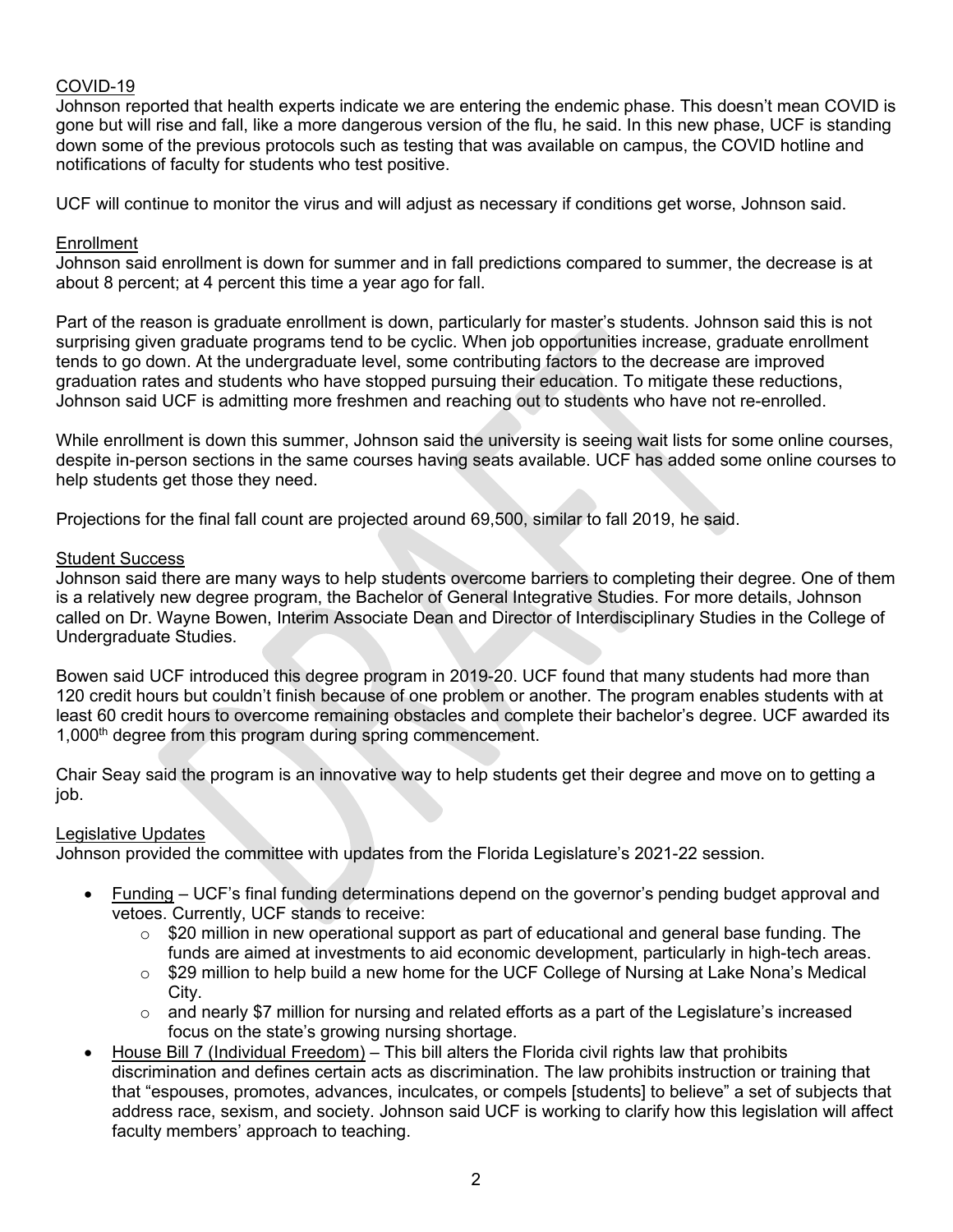# COVID-19

Johnson reported that health experts indicate we are entering the endemic phase. This doesn't mean COVID is gone but will rise and fall, like a more dangerous version of the flu, he said. In this new phase, UCF is standing down some of the previous protocols such as testing that was available on campus, the COVID hotline and notifications of faculty for students who test positive.

UCF will continue to monitor the virus and will adjust as necessary if conditions get worse, Johnson said.

## **Enrollment**

Johnson said enrollment is down for summer and in fall predictions compared to summer, the decrease is at about 8 percent; at 4 percent this time a year ago for fall.

Part of the reason is graduate enrollment is down, particularly for master's students. Johnson said this is not surprising given graduate programs tend to be cyclic. When job opportunities increase, graduate enrollment tends to go down. At the undergraduate level, some contributing factors to the decrease are improved graduation rates and students who have stopped pursuing their education. To mitigate these reductions, Johnson said UCF is admitting more freshmen and reaching out to students who have not re-enrolled.

While enrollment is down this summer, Johnson said the university is seeing wait lists for some online courses, despite in-person sections in the same courses having seats available. UCF has added some online courses to help students get those they need.

Projections for the final fall count are projected around 69,500, similar to fall 2019, he said.

## Student Success

Johnson said there are many ways to help students overcome barriers to completing their degree. One of them is a relatively new degree program, the Bachelor of General Integrative Studies. For more details, Johnson called on Dr. Wayne Bowen, Interim Associate Dean and Director of Interdisciplinary Studies in the College of Undergraduate Studies.

Bowen said UCF introduced this degree program in 2019-20. UCF found that many students had more than 120 credit hours but couldn't finish because of one problem or another. The program enables students with at least 60 credit hours to overcome remaining obstacles and complete their bachelor's degree. UCF awarded its 1,000<sup>th</sup> degree from this program during spring commencement.

Chair Seay said the program is an innovative way to help students get their degree and move on to getting a job.

#### Legislative Updates

Johnson provided the committee with updates from the Florida Legislature's 2021-22 session.

- Funding UCF's final funding determinations depend on the governor's pending budget approval and vetoes. Currently, UCF stands to receive:
	- $\circ$  \$20 million in new operational support as part of educational and general base funding. The funds are aimed at investments to aid economic development, particularly in high-tech areas.
	- $\circ$  \$29 million to help build a new home for the UCF College of Nursing at Lake Nona's Medical City.
	- $\circ$  and nearly \$7 million for nursing and related efforts as a part of the Legislature's increased focus on the state's growing nursing shortage.
- House Bill 7 (Individual Freedom) This bill alters the Florida civil rights law that prohibits discrimination and defines certain acts as discrimination. The law prohibits instruction or training that that "espouses, promotes, advances, inculcates, or compels [students] to believe" a set of subjects that address race, sexism, and society. Johnson said UCF is working to clarify how this legislation will affect faculty members' approach to teaching.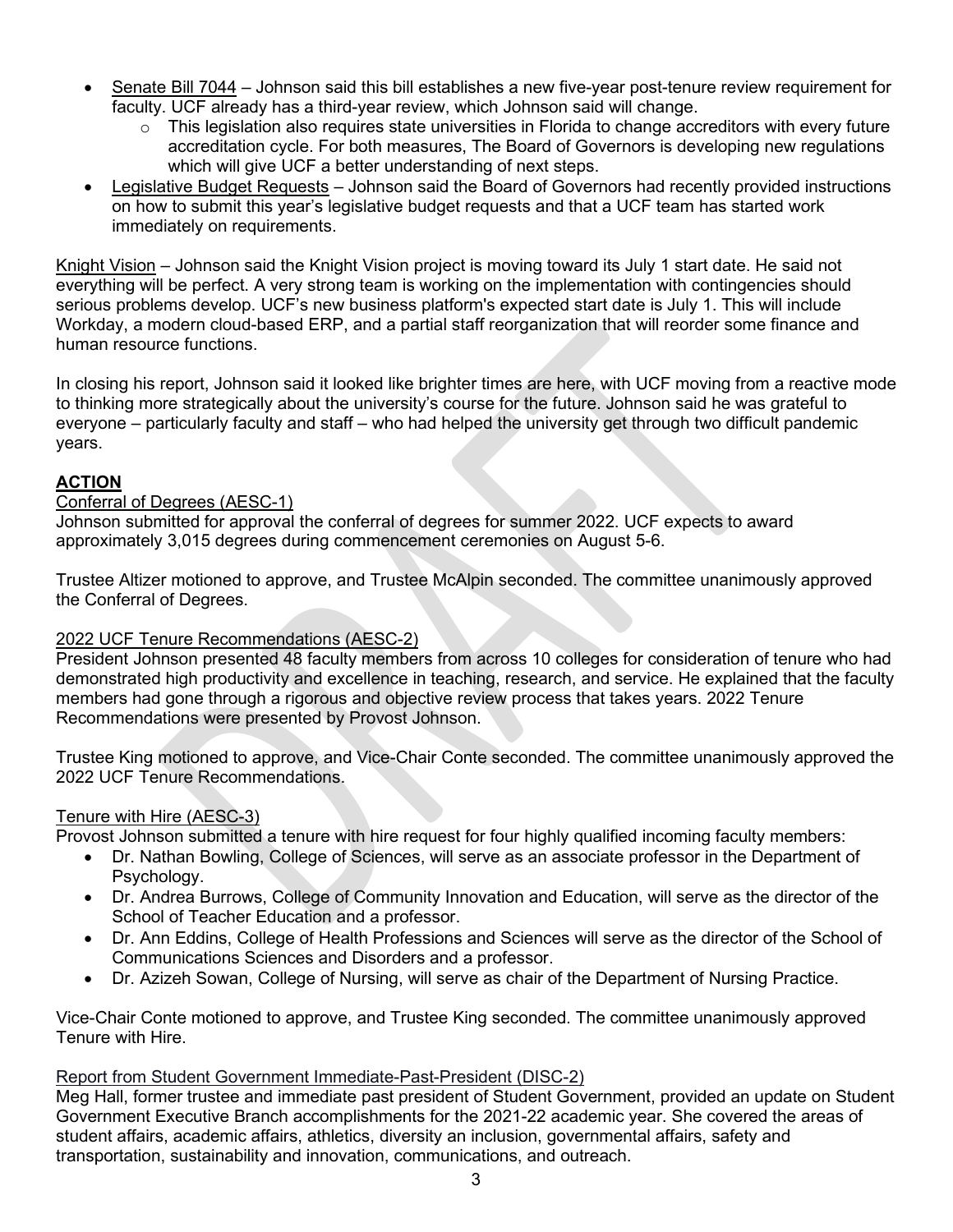- Senate Bill 7044 Johnson said this bill establishes a new five-year post-tenure review requirement for faculty. UCF already has a third-year review, which Johnson said will change.
	- $\circ$  This legislation also requires state universities in Florida to change accreditors with every future accreditation cycle. For both measures, The Board of Governors is developing new regulations which will give UCF a better understanding of next steps.
- Legislative Budget Requests Johnson said the Board of Governors had recently provided instructions on how to submit this year's legislative budget requests and that a UCF team has started work immediately on requirements.

Knight Vision – Johnson said the Knight Vision project is moving toward its July 1 start date. He said not everything will be perfect. A very strong team is working on the implementation with contingencies should serious problems develop. UCF's new business platform's expected start date is July 1. This will include Workday, a modern cloud-based ERP, and a partial staff reorganization that will reorder some finance and human resource functions.

In closing his report, Johnson said it looked like brighter times are here, with UCF moving from a reactive mode to thinking more strategically about the university's course for the future. Johnson said he was grateful to everyone – particularly faculty and staff – who had helped the university get through two difficult pandemic years.

# **ACTION**

# Conferral of Degrees (AESC-1)

Johnson submitted for approval the conferral of degrees for summer 2022. UCF expects to award approximately 3,015 degrees during commencement ceremonies on August 5-6.

Trustee Altizer motioned to approve, and Trustee McAlpin seconded. The committee unanimously approved the Conferral of Degrees.

# 2022 UCF Tenure Recommendations (AESC-2)

President Johnson presented 48 faculty members from across 10 colleges for consideration of tenure who had demonstrated high productivity and excellence in teaching, research, and service. He explained that the faculty members had gone through a rigorous and objective review process that takes years. 2022 Tenure Recommendations were presented by Provost Johnson.

Trustee King motioned to approve, and Vice-Chair Conte seconded. The committee unanimously approved the 2022 UCF Tenure Recommendations.

# Tenure with Hire (AESC-3)

Provost Johnson submitted a tenure with hire request for four highly qualified incoming faculty members:

- Dr. Nathan Bowling, College of Sciences, will serve as an associate professor in the Department of Psychology.
- Dr. Andrea Burrows, College of Community Innovation and Education, will serve as the director of the School of Teacher Education and a professor.
- Dr. Ann Eddins, College of Health Professions and Sciences will serve as the director of the School of Communications Sciences and Disorders and a professor.
- Dr. Azizeh Sowan, College of Nursing, will serve as chair of the Department of Nursing Practice.

Vice-Chair Conte motioned to approve, and Trustee King seconded. The committee unanimously approved Tenure with Hire.

#### Report from Student Government Immediate-Past-President (DISC-2)

Meg Hall, former trustee and immediate past president of Student Government, provided an update on Student Government Executive Branch accomplishments for the 2021-22 academic year. She covered the areas of student affairs, academic affairs, athletics, diversity an inclusion, governmental affairs, safety and transportation, sustainability and innovation, communications, and outreach.